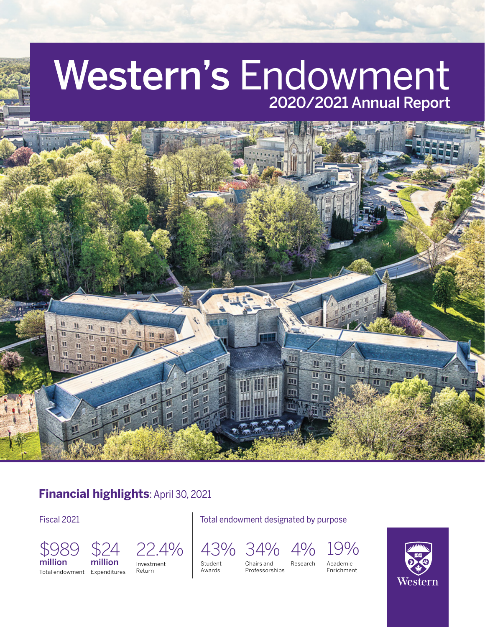# Western's Endowment 2020/2021 Annual Report



#### **Financial highlights**: April 30, 2021

Fiscal 2021 **Fiscal 2021** Total endowment designated by purpose





Total endowment Expenditures



Student Awards

Chairs and 43% 34% 4% 19%

Professorships Research Academic



Enrichment

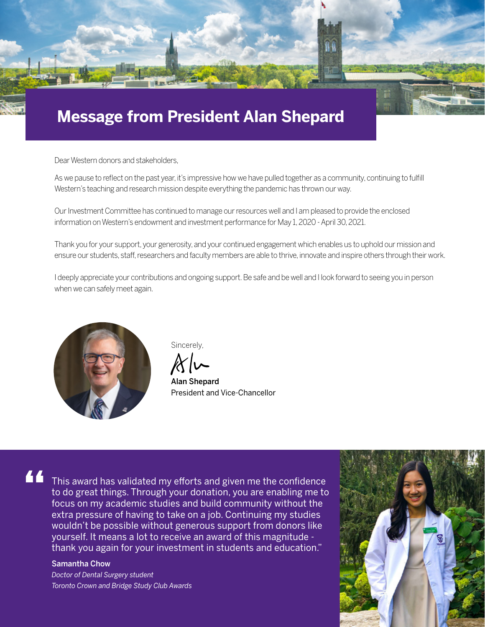

Dear Western donors and stakeholders,

As we pause to reflect on the past year, it's impressive how we have pulled together as a community, continuing to fulfill Western's teaching and research mission despite everything the pandemic has thrown our way.

Our Investment Committee has continued to manage our resources well and I am pleased to provide the enclosed information on Western's endowment and investment performance for May 1, 2020 - April 30, 2021.

Thank you for your support, your generosity, and your continued engagement which enables us to uphold our mission and ensure our students, staff, researchers and faculty members are able to thrive, innovate and inspire others through their work.

I deeply appreciate your contributions and ongoing support. Be safe and be well and I look forward to seeing you in person when we can safely meet again.



Sincerely,

Alan Shepard President and Vice-Chancellor

# **"**

This award has validated my efforts and given me the confidence to do great things. Through your donation, you are enabling me to focus on my academic studies and build community without the extra pressure of having to take on a job. Continuing my studies wouldn't be possible without generous support from donors like yourself. It means a lot to receive an award of this magnitude thank you again for your investment in students and education."

#### Samantha Chow

*Doctor of Dental Surgery student Toronto Crown and Bridge Study Club Awards* 

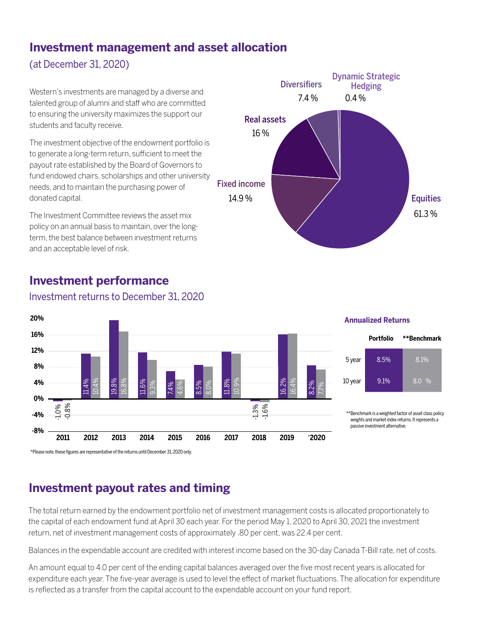#### **Investment management and asset allocation**

(at December 31, 2020)

Western's investments are managed by a diverse and talented group of alumni and staff who are committed to ensuring the university maximizes the support our students and faculty receive.

The investment objective of the endowment portfolio is to generate a long-term return, sufficient to meet the payout rate established by the Board of Governors to fund endowed chairs, scholarships and other university needs, and to maintain the purchasing power of donated capital.

The Investment Committee reviews the asset mix policy on an annual basis to maintain, over the longterm, the best balance between investment returns and an acceptable level of risk.



## **Investment performance**



#### Investment returns to December 31, 2020

## **Investment payout rates and timing**

The total return earned by the endowment portfolio net of investment management costs is allocated proportionately to the capital of each endowment fund at April 30 each year. For the period May 1, 2020 to April 30, 2021 the investment return, net of investment management costs of approximately .80 per cent, was 22.4 per cent.

Balances in the expendable account are credited with interest income based on the 30-day Canada T-Bill rate, net of costs.

An amount equal to 4.0 per cent of the ending capital balances averaged over the five most recent years is allocated for expenditure each year. The five-year average is used to level the effect of market fluctuations. The allocation for expenditure is reflected as a transfer from the capital account to the expendable account on your fund report.